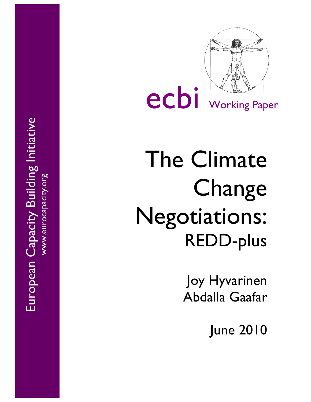European Capacity Building Initiative European Capacity Building Initiative www.eurocapacity.org



ecbi Working Paper

# The Climate Change Negotiations: REDD -plus

Joy Hyvarinen Abdalla Gaafar

June 2010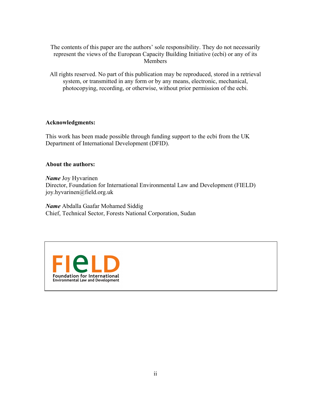The contents of this paper are the authors' sole responsibility. They do not necessarily represent the views of the European Capacity Building Initiative (ecbi) or any of its Members

All rights reserved. No part of this publication may be reproduced, stored in a retrieval system, or transmitted in any form or by any means, electronic, mechanical, photocopying, recording, or otherwise, without prior permission of the ecbi.

#### **Acknowledgments:**

This work has been made possible through funding support to the ecbi from the UK Department of International Development (DFID).

#### **About the authors:**

*Name* Joy Hyvarinen Director, Foundation for International Environmental Law and Development (FIELD) joy.hyvarinen@field.org.uk

*Name* Abdalla Gaafar Mohamed Siddig Chief, Technical Sector, Forests National Corporation, Sudan

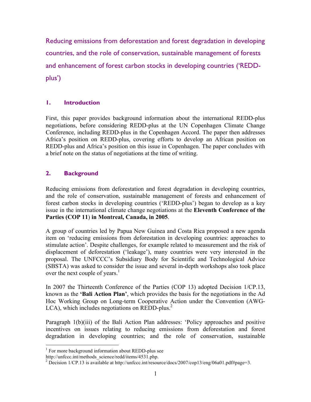Reducing emissions from deforestation and forest degradation in developing countries, and the role of conservation, sustainable management of forests and enhancement of forest carbon stocks in developing countries ('REDDplus')

#### **1. Introduction**

First, this paper provides background information about the international REDD-plus negotiations, before considering REDD-plus at the UN Copenhagen Climate Change Conference, including REDD-plus in the Copenhagen Accord. The paper then addresses Africa's position on REDD-plus, covering efforts to develop an African position on REDD-plus and Africa's position on this issue in Copenhagen. The paper concludes with a brief note on the status of negotiations at the time of writing.

#### **2. Background**

Reducing emissions from deforestation and forest degradation in developing countries, and the role of conservation, sustainable management of forests and enhancement of forest carbon stocks in developing countries ('REDD-plus') began to develop as a key issue in the international climate change negotiations at the **Eleventh Conference of the Parties (COP 11**) **in Montreal, Canada, in 2005**.

A group of countries led by Papua New Guinea and Costa Rica proposed a new agenda item on 'reducing emissions from deforestation in developing countries: approaches to stimulate action'. Despite challenges, for example related to measurement and the risk of displacement of deforestation ('leakage'), many countries were very interested in the proposal. The UNFCCC's Subsidiary Body for Scientific and Technological Advice (SBSTA) was asked to consider the issue and several in-depth workshops also took place over the next couple of years.<sup>1</sup>

In 2007 the Thirteenth Conference of the Parties (COP 13) adopted Decision 1/CP.13, known as the **'Bali Action Plan'**, which provides the basis for the negotiations in the Ad Hoc Working Group on Long-term Cooperative Action under the Convention (AWG-LCA), which includes negotiations on REDD-plus.<sup>2</sup>

Paragraph 1(b)(iii) of the Bali Action Plan addresses: 'Policy approaches and positive incentives on issues relating to reducing emissions from deforestation and forest degradation in developing countries; and the role of conservation, sustainable

<sup>&</sup>lt;sup>1</sup> For more background information about REDD-plus see

http://unfccc.int/methods\_science/redd/items/4531.php.

<sup>&</sup>lt;sup>2</sup> Decision  $1/CP.13$  is available at http://unfccc.int/resource/docs/2007/cop13/eng/06a01.pdf#page=3.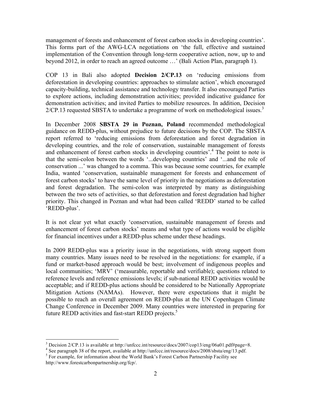management of forests and enhancement of forest carbon stocks in developing countries'. This forms part of the AWG-LCA negotiations on 'the full, effective and sustained implementation of the Convention through long-term cooperative action, now, up to and beyond 2012, in order to reach an agreed outcome …' (Bali Action Plan, paragraph 1).

COP 13 in Bali also adopted **Decision 2/CP.13** on 'reducing emissions from deforestation in developing countries: approaches to stimulate action', which encouraged capacity-building, technical assistance and technology transfer. It also encouraged Parties to explore actions, including demonstration activities; provided indicative guidance for demonstration activities; and invited Parties to mobilize resources. In addition, Decision  $2/CP.13$  requested SBSTA to undertake a programme of work on methodological issues.<sup>3</sup>

In December 2008 **SBSTA 29 in Poznan, Poland** recommended methodological guidance on REDD-plus, without prejudice to future decisions by the COP. The SBSTA report referred to 'reducing emissions from deforestation and forest degradation in developing countries, and the role of conservation, sustainable management of forests and enhancement of forest carbon stocks in developing countries'. 4 The point to note is that the semi-colon between the words '...developing countries' and '...and the role of conservation ...' was changed to a comma. This was because some countries, for example India, wanted 'conservation, sustainable management for forests and enhancement of forest carbon stocks' to have the same level of priority in the negotiations as deforestation and forest degradation. The semi-colon was interpreted by many as distinguishing between the two sets of activities, so that deforestation and forest degradation had higher priority. This changed in Poznan and what had been called 'REDD' started to be called 'REDD-plus'.

It is not clear yet what exactly 'conservation, sustainable management of forests and enhancement of forest carbon stocks' means and what type of actions would be eligible for financial incentives under a REDD-plus scheme under these headings.

In 2009 REDD-plus was a priority issue in the negotiations, with strong support from many countries. Many issues need to be resolved in the negotiations: for example, if a fund or market-based approach would be best; involvement of indigenous peoples and local communities; 'MRV' ('measurable, reportable and verifiable); questions related to reference levels and reference emissions levels; if sub-national REDD activities would be acceptable; and if REDD-plus actions should be considered to be Nationally Appropriate Mitigation Actions (NAMAs). However, there were expectations that it might be possible to reach an overall agreement on REDD-plus at the UN Copenhagen Climate Change Conference in December 2009. Many countries were interested in preparing for future REDD activities and fast-start REDD projects.<sup>5</sup>

 <sup>3</sup>  $\frac{3}{4}$  Decision 2/CP.13 is available at http://unfccc.int/resource/docs/2007/cop13/eng/06a01.pdf#page=8.  $\frac{4}{4}$  See narrows 38 of the report, available at http://unfece.int/resource/docs/2008/chate/eng/13 ndf

<sup>&</sup>lt;sup>4</sup> See paragraph 38 of the report, available at http://unfccc.int/resource/docs/2008/sbsta/eng/13.pdf.  $^5$  Eq. example, for information about the World Bonk's Eqsect Carbon Bortnorship Equility see

For example, for information about the World Bank's Forest Carbon Partnership Facility see http://www.forestcarbonpartnership.org/fcp/.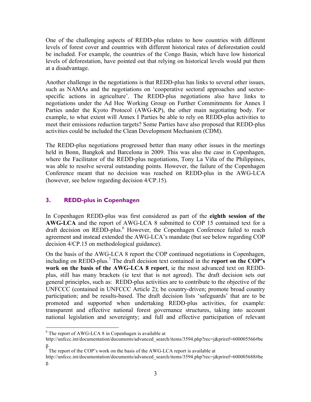One of the challenging aspects of REDD-plus relates to how countries with different levels of forest cover and countries with different historical rates of deforestation could be included. For example, the countries of the Congo Basin, which have low historical levels of deforestation, have pointed out that relying on historical levels would put them at a disadvantage.

Another challenge in the negotiations is that REDD-plus has links to several other issues, such as NAMAs and the negotiations on 'cooperative sectoral approaches and sectorspecific actions in agriculture'. The REDD-plus negotiations also have links to negotiations under the Ad Hoc Working Group on Further Commitments for Annex I Parties under the Kyoto Protocol (AWG-KP), the other main negotiating body. For example, to what extent will Annex I Parties be able to rely on REDD-plus activities to meet their emissions reduction targets? Some Parties have also proposed that REDD-plus activities could be included the Clean Development Mechanism (CDM).

The REDD-plus negotiations progressed better than many other issues in the meetings held in Bonn, Bangkok and Barcelona in 2009. This was also the case in Copenhagen, where the Facilitator of the REDD-plus negotiations, Tony La Viña of the Philippines, was able to resolve several outstanding points. However, the failure of the Copenhagen Conference meant that no decision was reached on REDD-plus in the AWG-LCA (however, see below regarding decision 4/CP.15).

# **3. REDD-plus in Copenhagen**

In Copenhagen REDD-plus was first considered as part of the **eighth session of the AWG-LCA** and the report of AWG-LCA 8 submitted to COP 15 contained text for a draft decision on REDD-plus.<sup>6</sup> However, the Copenhagen Conference failed to reach agreement and instead extended the AWG-LCA's mandate (but see below regarding COP decision 4/CP.15 on methodological guidance).

On the basis of the AWG-LCA 8 report the COP continued negotiations in Copenhagen, including on REDD-plus.<sup>7</sup> The draft decision text contained in the **report on the COP's work on the basis of the AWG-LCA 8 report**, ie the most advanced text on REDDplus, still has many brackets (ie text that is not agreed). The draft decision sets out general principles, such as: REDD-plus activities are to contribute to the objective of the UNFCCC (contained in UNFCCC Article 2); be country-driven; promote broad country participation; and be results-based. The draft decision lists 'safeguards' that are to be promoted and supported when undertaking REDD-plus activities, for example: transparent and effective national forest governance structures, taking into account national legislation and sovereignty; and full and effective participation of relevant

 $\frac{1}{6}$  $6$  The report of AWG-LCA 8 in Copenhagen is available at

http://unfccc.int/documentation/documents/advanced\_search/items/3594.php?rec=j&priref=600005566#be

g.<br><sup>7</sup> The report of the COP's work on the basis of the AWG-LCA report is available at

http://unfccc.int/documentation/documents/advanced\_search/items/3594.php?rec=j&priref=600005688#be g.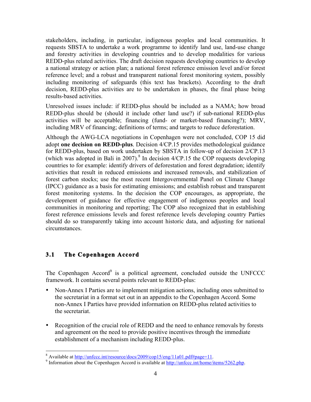stakeholders, including, in particular, indigenous peoples and local communities. It requests SBSTA to undertake a work programme to identify land use, land-use change and forestry activities in developing countries and to develop modalities for various REDD-plus related activities. The draft decision requests developing countries to develop a national strategy or action plan; a national forest reference emission level and/or forest reference level; and a robust and transparent national forest monitoring system, possibly including monitoring of safeguards (this text has brackets). According to the draft decision, REDD-plus activities are to be undertaken in phases, the final phase being results-based activities.

Unresolved issues include: if REDD-plus should be included as a NAMA; how broad REDD-plus should be (should it include other land use?) if sub-national REDD-plus activities will be acceptable; financing (fund- or market-based financing?); MRV, including MRV of financing; definitions of terms; and targets to reduce deforestation.

Although the AWG-LCA negotiations in Copenhagen were not concluded, COP 15 did adopt **one decision on REDD-plus**. Decision 4/CP.15 provides methodological guidance for REDD-plus, based on work undertaken by SBSTA in follow-up of decision 2/CP.13 (which was adopted in Bali in 2007). 8 In decision 4/CP.15 the COP requests developing countries to for example: identify drivers of deforestation and forest degradation; identify activities that result in reduced emissions and increased removals, and stabilization of forest carbon stocks; use the most recent Intergovernmental Panel on Climate Change (IPCC) guidance as a basis for estimating emissions; and establish robust and transparent forest monitoring systems. In the decision the COP encourages, as appropriate, the development of guidance for effective engagement of indigenous peoples and local communities in monitoring and reporting; The COP also recognized that in establishing forest reference emissions levels and forest reference levels developing country Parties should do so transparently taking into account historic data, and adjusting for national circumstances.

#### **3.1 The Copenhagen Accord**

The Copenhagen Accord<sup>9</sup> is a political agreement, concluded outside the UNFCCC framework. It contains several points relevant to REDD-plus:

- Non-Annex I Parties are to implement mitigation actions, including ones submitted to the secretariat in a format set out in an appendix to the Copenhagen Accord. Some non-Annex I Parties have provided information on REDD-plus related activities to the secretariat.
- Recognition of the crucial role of REDD and the need to enhance removals by forests and agreement on the need to provide positive incentives through the immediate establishment of a mechanism including REDD-plus.

 <sup>8</sup> <sup>8</sup> Available at http://unfccc.int/resource/docs/2009/cop15/eng/11a01.pdf#page=11.

<sup>&</sup>lt;sup>9</sup> Information about the Copenhagen Accord is available at http://unfccc.int/home/items/5262.php.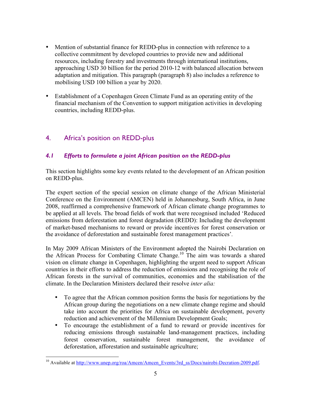- Mention of substantial finance for REDD-plus in connection with reference to a collective commitment by developed countries to provide new and additional resources, including forestry and investments through international institutions, approaching USD 30 billion for the period 2010-12 with balanced allocation between adaptation and mitigation. This paragraph (paragraph 8) also includes a reference to mobilising USD 100 billion a year by 2020.
- Establishment of a Copenhagen Green Climate Fund as an operating entity of the financial mechanism of the Convention to support mitigation activities in developing countries, including REDD-plus.

# 4. Africa's position on REDD-plus

# *4.1 Efforts to formulate a joint African position on the REDD-plus*

This section highlights some key events related to the development of an African position on REDD-plus.

The expert section of the special session on climate change of the African Ministerial Conference on the Environment (AMCEN) held in Johannesburg, South Africa, in June 2008, reaffirmed a comprehensive framework of African climate change programmes to be applied at all levels. The broad fields of work that were recognised included 'Reduced emissions from deforestation and forest degradation (REDD): Including the development of market-based mechanisms to reward or provide incentives for forest conservation or the avoidance of deforestation and sustainable forest management practices'*.*

In May 2009 African Ministers of the Environment adopted the Nairobi Declaration on the African Process for Combating Climate Change. 10 The aim was towards a shared vision on climate change in Copenhagen, highlighting the urgent need to support African countries in their efforts to address the reduction of emissions and recognising the role of African forests in the survival of communities, economies and the stabilisation of the climate. In the Declaration Ministers declared their resolve *inter alia:*

- To agree that the African common position forms the basis for negotiations by the African group during the negotiations on a new climate change regime and should take into account the priorities for Africa on sustainable development, poverty reduction and achievement of the Millennium Development Goals;
- To encourage the establishment of a fund to reward or provide incentives for reducing emissions through sustainable land-management practices, including forest conservation, sustainable forest management, the avoidance of deforestation, afforestation and sustainable agriculture;

<sup>&</sup>lt;sup>10</sup> Available at http://www.unep.org/roa/Amcen/Amcen\_Events/3rd\_ss/Docs/nairobi-Decration-2009.pdf.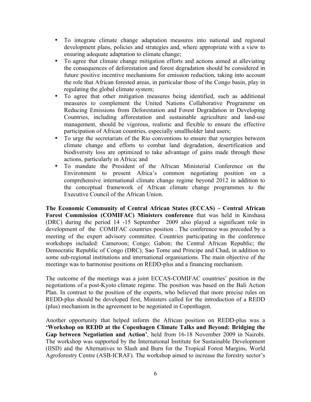- To integrate climate change adaptation measures into national and regional development plans, policies and strategies and, where appropriate with a view to ensuring adequate adaptation to climate change;
- To agree that climate change mitigation efforts and actions aimed at alleviating the consequences of deforestation and forest degradation should be considered in future positive incentive mechanisms for emission reduction, taking into account the role that African forested areas, in particular those of the Congo basin, play in regulating the global climate system;
- To agree that other mitigation measures being identified, such as additional measures to complement the United Nations Collaborative Programme on Reducing Emissions from Deforestation and Forest Degradation in Developing Countries, including afforestation and sustainable agriculture and land-use management, should be vigorous, realistic and flexible to ensure the effective participation of African countries, especially smallholder land users;
- To urge the secretariats of the Rio conventions to ensure that synergies between climate change and efforts to combat land degradation, desertification and biodiversity loss are optimized to take advantage of gains made through these actions, particularly in Africa; and
- To mandate the President of the African Ministerial Conference on the Environment to present Africa's common negotiating position on a comprehensive international climate change regime beyond 2012 in addition to the conceptual framework of African climate change programmes to the Executive Council of the African Union.

**The Economic Community of Central African States (ECCAS) – Central African Forest Commission (COMIFAC) Ministers conference** that was held in Kinshasa (DRC) during the period 14 -15 September 2009 also played a significant role in development of the COMIFAC countries position . The conference was preceded by a meeting of the expert advisory committee. Countries participating in the conference workshops included: Cameroon; Congo; Gabon; the Central African Republic; the Democratic Republic of Congo (DRC); Sao Tome and Principe and Chad, in addition to some sub-regional institutions and international organisations. The main objective of the meetings was to harmonise positions on REDD-plus and a financing mechanism.

The outcome of the meetings was a joint ECCAS-COMIFAC countries' position in the negotiations of a post-Kyoto climate regime. The position was based on the Bali Action Plan. In contrast to the position of the experts, who believed that more precise rules on REDD-plus should be developed first, Ministers called for the introduction of a REDD (plus) mechanism in the agreement to be negotiated in Copenhagen.

Another opportunity that helped inform the African position on REDD-plus was a **'Workshop on REDD at the Copenhagen Climate Talks and Beyond: Bridging the Gap between Negotiation and Action'**, held from 16-18 November 2009 in Nairobi. The workshop was supported by the International Institute for Sustainable Development (IISD) and the Alternatives to Slash and Burn for the Tropical Forest Margins, World Agroforestry Centre (ASB-ICRAF). The workshop aimed to increase the forestry sector's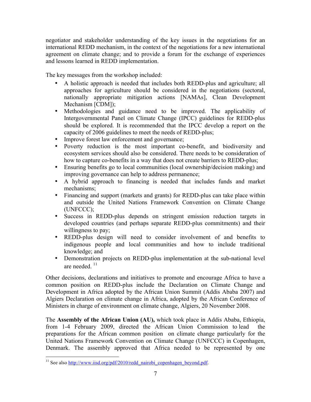negotiator and stakeholder understanding of the key issues in the negotiations for an international REDD mechanism, in the context of the negotiations for a new international agreement on climate change; and to provide a forum for the exchange of experiences and lessons learned in REDD implementation.

The key messages from the workshop included:

- A holistic approach is needed that includes both REDD-plus and agriculture; all approaches for agriculture should be considered in the negotiations (sectoral, nationally appropriate mitigation actions [NAMAs], Clean Development Mechanism [CDM]);
- Methodologies and guidance need to be improved. The applicability of Intergovernmental Panel on Climate Change (IPCC) guidelines for REDD-plus should be explored. It is recommended that the IPCC develop a report on the capacity of 2006 guidelines to meet the needs of REDD-plus;
- Improve forest law enforcement and governance;
- Poverty reduction is the most important co-benefit, and biodiversity and ecosystem services should also be considered. There needs to be consideration of how to capture co-benefits in a way that does not create barriers to REDD-plus;
- Ensuring benefits go to local communities (local ownership/decision making) and improving governance can help to address permanence;
- A hybrid approach to financing is needed that includes funds and market mechanisms;
- Financing and support (markets and grants) for REDD-plus can take place within and outside the United Nations Framework Convention on Climate Change (UNFCCC);
- Success in REDD-plus depends on stringent emission reduction targets in developed countries (and perhaps separate REDD-plus commitments) and their willingness to pay;
- REDD-plus design will need to consider involvement of and benefits to indigenous people and local communities and how to include traditional knowledge; and
- Demonstration projects on REDD-plus implementation at the sub-national level are needed  $11$

Other decisions, declarations and initiatives to promote and encourage Africa to have a common position on REDD-plus include the Declaration on Climate Change and Development in Africa adopted by the African Union Summit (Addis Ababa 2007) and Algiers Declaration on climate change in Africa, adopted by the African Conference of Ministers in charge of environment on climate change, Algiers, 20 November 2008.

The **Assembly of the African Union (AU),** which took place in Addis Ababa, Ethiopia, from 1-4 February 2009, directed the African Union Commission to lead the preparations for the African common position on climate change particularly for the United Nations Framework Convention on Climate Change (UNFCCC) in Copenhagen, Denmark. The assembly approved that Africa needed to be represented by one

<sup>&</sup>lt;sup>11</sup> See also http://www.iisd.org/pdf/2010/redd\_nairobi\_copenhagen\_beyond.pdf.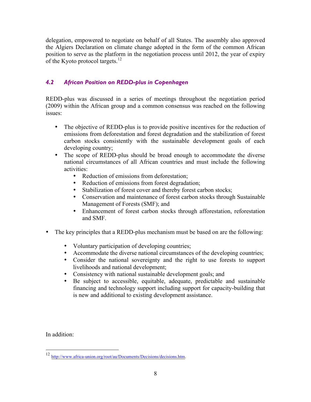delegation, empowered to negotiate on behalf of all States. The assembly also approved the Algiers Declaration on climate change adopted in the form of the common African position to serve as the platform in the negotiation process until 2012, the year of expiry of the Kyoto protocol targets.<sup>12</sup>

# *4.2 African Position on REDD-plus in Copenhagen*

REDD-plus was discussed in a series of meetings throughout the negotiation period (2009) within the African group and a common consensus was reached on the following issues:

- The objective of REDD-plus is to provide positive incentives for the reduction of emissions from deforestation and forest degradation and the stabilization of forest carbon stocks consistently with the sustainable development goals of each developing country;
- The scope of REDD-plus should be broad enough to accommodate the diverse national circumstances of all African countries and must include the following activities:
	- Reduction of emissions from deforestation;
	- Reduction of emissions from forest degradation;
	- Stabilization of forest cover and thereby forest carbon stocks;
	- Conservation and maintenance of forest carbon stocks through Sustainable Management of Forests (SMF); and
	- Enhancement of forest carbon stocks through afforestation, reforestation and SMF.
- The key principles that a REDD-plus mechanism must be based on are the following:
	- Voluntary participation of developing countries;
	- Accommodate the diverse national circumstances of the developing countries;
	- Consider the national sovereignty and the right to use forests to support livelihoods and national development;
	- Consistency with national sustainable development goals; and<br>• Be subject to accessible, equitable, adequate, predictable
	- Be subject to accessible, equitable, adequate, predictable and sustainable financing and technology support including support for capacity-building that is new and additional to existing development assistance.

In addition:

 <sup>12</sup> http://www.africa-union.org/root/au/Documents/Decisions/decisions.htm.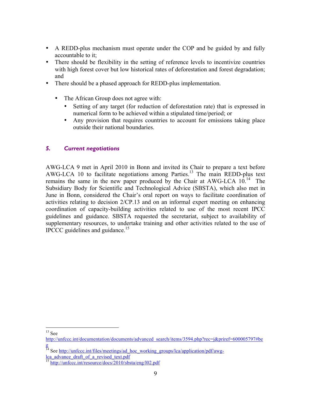- A REDD-plus mechanism must operate under the COP and be guided by and fully accountable to it;
- There should be flexibility in the setting of reference levels to incentivize countries with high forest cover but low historical rates of deforestation and forest degradation; and
- There should be a phased approach for REDD-plus implementation.
	- The African Group does not agree with:
		- Setting of any target (for reduction of deforestation rate) that is expressed in numerical form to be achieved within a stipulated time/period; or
		- Any provision that requires countries to account for emissions taking place outside their national boundaries.

#### *5. Current negotiations*

AWG-LCA 9 met in April 2010 in Bonn and invited its Chair to prepare a text before AWG-LCA 10 to facilitate negotiations among Parties.<sup>13</sup> The main REDD-plus text remains the same in the new paper produced by the Chair at AWG-LCA  $10^{14}$  The Subsidiary Body for Scientific and Technological Advice (SBSTA), which also met in June in Bonn, considered the Chair's oral report on ways to facilitate coordination of activities relating to decision 2/CP.13 and on an informal expert meeting on enhancing coordination of capacity-building activities related to use of the most recent IPCC guidelines and guidance. SBSTA requested the secretariat, subject to availability of supplementary resources, to undertake training and other activities related to the use of IPCCC guidelines and guidance.<sup>15</sup>

 $13$  See

http://unfccc.int/documentation/documents/advanced\_search/items/3594.php?rec=j&priref=600005797#be g

<sup>&</sup>lt;sup>14</sup> See http://unfccc.int/files/meetings/ad\_hoc\_working\_groups/lca/application/pdf/awglca\_advance\_draft\_of\_a\_revised\_text.pdf

<sup>&</sup>lt;sup>15</sup> http://unfccc.int/resource/docs/2010/sbsta/eng/l02.pdf